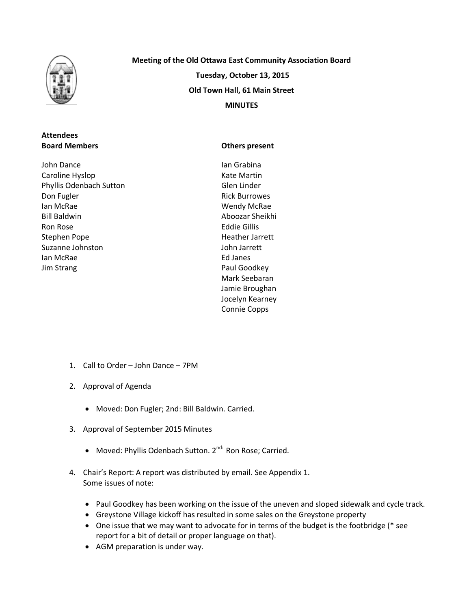

## **Attendees Board Members**

John Dance Caroline Hyslop Phyllis Odenbach Sutton Don Fugler Ian McRae Bill Baldwin Ron Rose Stephen Pope Suzanne Johnston Ian McRae Jim Strang

**Meeting of the Old Ottawa East Community Association Board Tuesday, October 13, 2015 Old Town Hall, 61 Main Street MINUTES**

### **Others present**

Ian Grabina Kate Martin Glen Linder Rick Burrowes Wendy McRae Aboozar Sheikhi Eddie Gillis Heather Jarrett John Jarrett Ed Janes Paul Goodkey Mark Seebaran Jamie Broughan Jocelyn Kearney Connie Copps

- 1. Call to Order John Dance 7PM
- 2. Approval of Agenda
	- Moved: Don Fugler; 2nd: Bill Baldwin. Carried.
- 3. Approval of September 2015 Minutes
	- Moved: Phyllis Odenbach Sutton. 2<sup>nd:</sup> Ron Rose; Carried.
- 4. Chair's Report: A report was distributed by email. See Appendix 1. Some issues of note:
	- Paul Goodkey has been working on the issue of the uneven and sloped sidewalk and cycle track.
	- Greystone Village kickoff has resulted in some sales on the Greystone property
	- One issue that we may want to advocate for in terms of the budget is the footbridge (\* see report for a bit of detail or proper language on that).
	- AGM preparation is under way.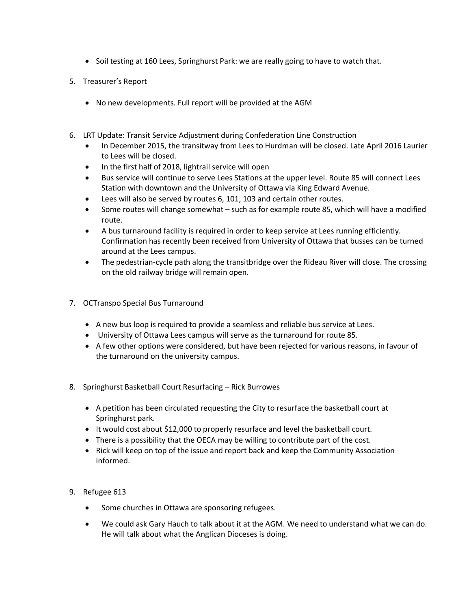- Soil testing at 160 Lees, Springhurst Park: we are really going to have to watch that.
- 5. Treasurer's Report
	- No new developments. Full report will be provided at the AGM
- 6. LRT Update: Transit Service Adjustment during Confederation Line Construction
	- In December 2015, the transitway from Lees to Hurdman will be closed. Late April 2016 Laurier to Lees will be closed.
	- In the first half of 2018, lightrail service will open
	- Bus service will continue to serve Lees Stations at the upper level. Route 85 will connect Lees Station with downtown and the University of Ottawa via King Edward Avenue.
	- Lees will also be served by routes 6, 101, 103 and certain other routes.
	- Some routes will change somewhat such as for example route 85, which will have a modified route.
	- A bus turnaround facility is required in order to keep service at Lees running efficiently. Confirmation has recently been received from University of Ottawa that busses can be turned around at the Lees campus.
	- The pedestrian-cycle path along the transitbridge over the Rideau River will close. The crossing on the old railway bridge will remain open.
- 7. OCTranspo Special Bus Turnaround
	- A new bus loop is required to provide a seamless and reliable bus service at Lees.
	- University of Ottawa Lees campus will serve as the turnaround for route 85.
	- A few other options were considered, but have been rejected for various reasons, in favour of the turnaround on the university campus.
- 8. Springhurst Basketball Court Resurfacing Rick Burrowes
	- A petition has been circulated requesting the City to resurface the basketball court at Springhurst park.
	- It would cost about \$12,000 to properly resurface and level the basketball court.
	- There is a possibility that the OECA may be willing to contribute part of the cost.
	- Rick will keep on top of the issue and report back and keep the Community Association informed.
- 9. Refugee 613
	- Some churches in Ottawa are sponsoring refugees.
	- We could ask Gary Hauch to talk about it at the AGM. We need to understand what we can do. He will talk about what the Anglican Dioceses is doing.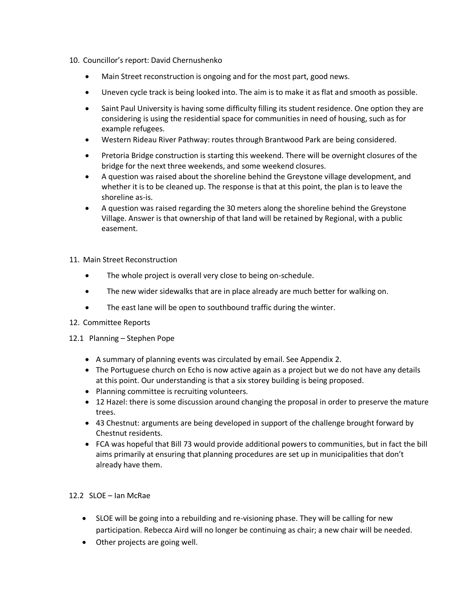- 10. Councillor's report: David Chernushenko
	- Main Street reconstruction is ongoing and for the most part, good news.
	- Uneven cycle track is being looked into. The aim is to make it as flat and smooth as possible.
	- Saint Paul University is having some difficulty filling its student residence. One option they are considering is using the residential space for communities in need of housing, such as for example refugees.
	- Western Rideau River Pathway: routes through Brantwood Park are being considered.
	- Pretoria Bridge construction is starting this weekend. There will be overnight closures of the bridge for the next three weekends, and some weekend closures.
	- A question was raised about the shoreline behind the Greystone village development, and whether it is to be cleaned up. The response is that at this point, the plan is to leave the shoreline as-is.
	- A question was raised regarding the 30 meters along the shoreline behind the Greystone Village. Answer is that ownership of that land will be retained by Regional, with a public easement.
- 11. Main Street Reconstruction
	- The whole project is overall very close to being on-schedule.
	- The new wider sidewalks that are in place already are much better for walking on.
	- The east lane will be open to southbound traffic during the winter.
- 12. Committee Reports
- 12.1 Planning Stephen Pope
	- A summary of planning events was circulated by email. See Appendix 2.
	- The Portuguese church on Echo is now active again as a project but we do not have any details at this point. Our understanding is that a six storey building is being proposed.
	- Planning committee is recruiting volunteers.
	- 12 Hazel: there is some discussion around changing the proposal in order to preserve the mature trees.
	- 43 Chestnut: arguments are being developed in support of the challenge brought forward by Chestnut residents.
	- FCA was hopeful that Bill 73 would provide additional powers to communities, but in fact the bill aims primarily at ensuring that planning procedures are set up in municipalities that don't already have them.

## 12.2 SLOE – Ian McRae

- SLOE will be going into a rebuilding and re-visioning phase. They will be calling for new participation. Rebecca Aird will no longer be continuing as chair; a new chair will be needed.
- Other projects are going well.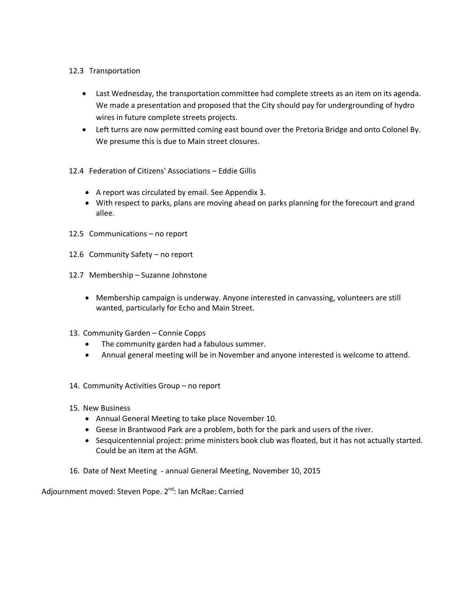### 12.3 Transportation

- Last Wednesday, the transportation committee had complete streets as an item on its agenda. We made a presentation and proposed that the City should pay for undergrounding of hydro wires in future complete streets projects.
- Left turns are now permitted coming east bound over the Pretoria Bridge and onto Colonel By. We presume this is due to Main street closures.
- 12.4 Federation of Citizens' Associations Eddie Gillis
	- A report was circulated by email. See Appendix 3.
	- With respect to parks, plans are moving ahead on parks planning for the forecourt and grand allee.
- 12.5 Communications no report
- 12.6 Community Safety no report
- 12.7 Membership Suzanne Johnstone
	- Membership campaign is underway. Anyone interested in canvassing, volunteers are still wanted, particularly for Echo and Main Street.
- 13. Community Garden Connie Copps
	- The community garden had a fabulous summer.
	- Annual general meeting will be in November and anyone interested is welcome to attend.
- 14. Community Activities Group no report
- 15. New Business
	- Annual General Meeting to take place November 10.
	- Geese in Brantwood Park are a problem, both for the park and users of the river.
	- Sesquicentennial project: prime ministers book club was floated, but it has not actually started. Could be an item at the AGM.
- 16. Date of Next Meeting annual General Meeting, November 10, 2015

Adjournment moved: Steven Pope. 2<sup>nd</sup>: Ian McRae: Carried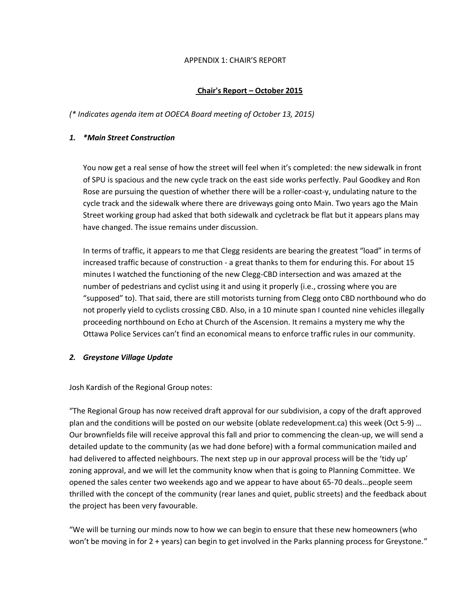#### APPENDIX 1: CHAIR'S REPORT

### **Chair's Report – October 2015**

*(\* Indicates agenda item at OOECA Board meeting of October 13, 2015)*

#### *1. \*Main Street Construction*

You now get a real sense of how the street will feel when it's completed: the new sidewalk in front of SPU is spacious and the new cycle track on the east side works perfectly. Paul Goodkey and Ron Rose are pursuing the question of whether there will be a roller-coast-y, undulating nature to the cycle track and the sidewalk where there are driveways going onto Main. Two years ago the Main Street working group had asked that both sidewalk and cycletrack be flat but it appears plans may have changed. The issue remains under discussion.

In terms of traffic, it appears to me that Clegg residents are bearing the greatest "load" in terms of increased traffic because of construction - a great thanks to them for enduring this. For about 15 minutes I watched the functioning of the new Clegg-CBD intersection and was amazed at the number of pedestrians and cyclist using it and using it properly (i.e., crossing where you are "supposed" to). That said, there are still motorists turning from Clegg onto CBD northbound who do not properly yield to cyclists crossing CBD. Also, in a 10 minute span I counted nine vehicles illegally proceeding northbound on Echo at Church of the Ascension. It remains a mystery me why the Ottawa Police Services can't find an economical means to enforce traffic rules in our community.

#### *2. Greystone Village Update*

Josh Kardish of the Regional Group notes:

"The Regional Group has now received draft approval for our subdivision, a copy of the draft approved plan and the conditions will be posted on our website (oblate redevelopment.ca) this week (Oct 5-9) … Our brownfields file will receive approval this fall and prior to commencing the clean-up, we will send a detailed update to the community (as we had done before) with a formal communication mailed and had delivered to affected neighbours. The next step up in our approval process will be the 'tidy up' zoning approval, and we will let the community know when that is going to Planning Committee. We opened the sales center two weekends ago and we appear to have about 65-70 deals…people seem thrilled with the concept of the community (rear lanes and quiet, public streets) and the feedback about the project has been very favourable.

"We will be turning our minds now to how we can begin to ensure that these new homeowners (who won't be moving in for 2 + years) can begin to get involved in the Parks planning process for Greystone."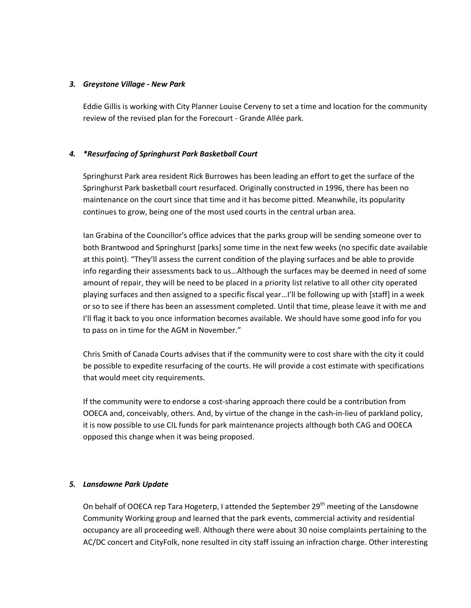### *3. Greystone Village - New Park*

Eddie Gillis is working with City Planner Louise Cerveny to set a time and location for the community review of the revised plan for the Forecourt - Grande Allée park.

## *4. \*Resurfacing of Springhurst Park Basketball Court*

Springhurst Park area resident Rick Burrowes has been leading an effort to get the surface of the Springhurst Park basketball court resurfaced. Originally constructed in 1996, there has been no maintenance on the court since that time and it has become pitted. Meanwhile, its popularity continues to grow, being one of the most used courts in the central urban area.

Ian Grabina of the Councillor's office advices that the parks group will be sending someone over to both Brantwood and Springhurst [parks] some time in the next few weeks (no specific date available at this point). "They'll assess the current condition of the playing surfaces and be able to provide info regarding their assessments back to us…Although the surfaces may be deemed in need of some amount of repair, they will be need to be placed in a priority list relative to all other city operated playing surfaces and then assigned to a specific fiscal year…I'll be following up with [staff] in a week or so to see if there has been an assessment completed. Until that time, please leave it with me and I'll flag it back to you once information becomes available. We should have some good info for you to pass on in time for the AGM in November."

Chris Smith of Canada Courts advises that if the community were to cost share with the city it could be possible to expedite resurfacing of the courts. He will provide a cost estimate with specifications that would meet city requirements.

If the community were to endorse a cost-sharing approach there could be a contribution from OOECA and, conceivably, others. And, by virtue of the change in the cash-in-lieu of parkland policy, it is now possible to use CIL funds for park maintenance projects although both CAG and OOECA opposed this change when it was being proposed.

## *5. Lansdowne Park Update*

On behalf of OOECA rep Tara Hogeterp, I attended the September 29<sup>th</sup> meeting of the Lansdowne Community Working group and learned that the park events, commercial activity and residential occupancy are all proceeding well. Although there were about 30 noise complaints pertaining to the AC/DC concert and CityFolk, none resulted in city staff issuing an infraction charge. Other interesting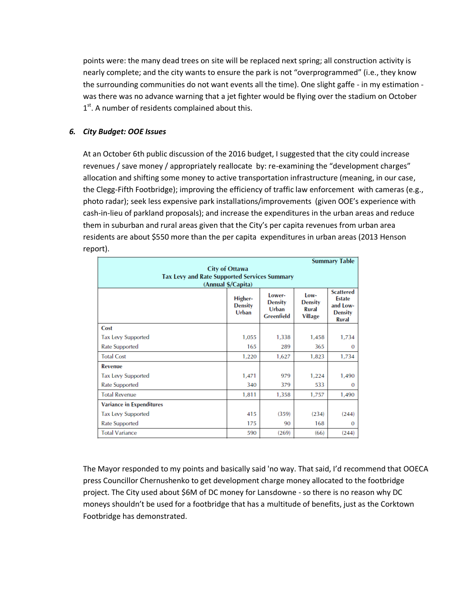points were: the many dead trees on site will be replaced next spring; all construction activity is nearly complete; and the city wants to ensure the park is not "overprogrammed" (i.e., they know the surrounding communities do not want events all the time). One slight gaffe - in my estimation was there was no advance warning that a jet fighter would be flying over the stadium on October 1<sup>st</sup>. A number of residents complained about this.

### *6. City Budget: OOE Issues*

At an October 6th public discussion of the 2016 budget, I suggested that the city could increase revenues / save money / appropriately reallocate by: re-examining the "development charges" allocation and shifting some money to active transportation infrastructure (meaning, in our case, the Clegg-Fifth Footbridge); improving the efficiency of traffic law enforcement with cameras (e.g., photo radar); seek less expensive park installations/improvements (given OOE's experience with cash-in-lieu of parkland proposals); and increase the expenditures in the urban areas and reduce them in suburban and rural areas given that the City's per capita revenues from urban area residents are about \$550 more than the per capita expenditures in urban areas (2013 Henson report).

| <b>Summary Table</b>                                                         |                                    |                                                        |                                                   |                                                                                 |
|------------------------------------------------------------------------------|------------------------------------|--------------------------------------------------------|---------------------------------------------------|---------------------------------------------------------------------------------|
| <b>City of Ottawa</b><br><b>Tax Levy and Rate Supported Services Summary</b> |                                    |                                                        |                                                   |                                                                                 |
| (Annual \$/Capita)                                                           |                                    |                                                        |                                                   |                                                                                 |
|                                                                              | Higher-<br><b>Density</b><br>Urban | Lower-<br><b>Density</b><br>Urban<br><b>Greenfield</b> | Low-<br><b>Density</b><br>Rural<br><b>Village</b> | <b>Scattered</b><br><b>Estate</b><br>and Low-<br><b>Density</b><br><b>Rural</b> |
| Cost                                                                         |                                    |                                                        |                                                   |                                                                                 |
| <b>Tax Levy Supported</b>                                                    | 1,055                              | 1,338                                                  | 1,458                                             | 1,734                                                                           |
| <b>Rate Supported</b>                                                        | 165                                | 289                                                    | 365                                               | $\Omega$                                                                        |
| <b>Total Cost</b>                                                            | 1,220                              | 1,627                                                  | 1,823                                             | 1,734                                                                           |
| <b>Revenue</b>                                                               |                                    |                                                        |                                                   |                                                                                 |
| <b>Tax Levy Supported</b>                                                    | 1,471                              | 979                                                    | 1,224                                             | 1,490                                                                           |
| <b>Rate Supported</b>                                                        | 340                                | 379                                                    | 533                                               | $\Omega$                                                                        |
| <b>Total Revenue</b>                                                         | 1,811                              | 1,358                                                  | 1,757                                             | 1,490                                                                           |
| <b>Variance in Expenditures</b>                                              |                                    |                                                        |                                                   |                                                                                 |
| <b>Tax Levy Supported</b>                                                    | 415                                | (359)                                                  | (234)                                             | (244)                                                                           |
| <b>Rate Supported</b>                                                        | 175                                | 90                                                     | 168                                               | $\Omega$                                                                        |
| <b>Total Variance</b>                                                        | 590                                | (269)                                                  | (66)                                              | (244)                                                                           |

The Mayor responded to my points and basically said 'no way. That said, I'd recommend that OOECA press Councillor Chernushenko to get development charge money allocated to the footbridge project. The City used about \$6M of DC money for Lansdowne - so there is no reason why DC moneys shouldn't be used for a footbridge that has a multitude of benefits, just as the Corktown Footbridge has demonstrated.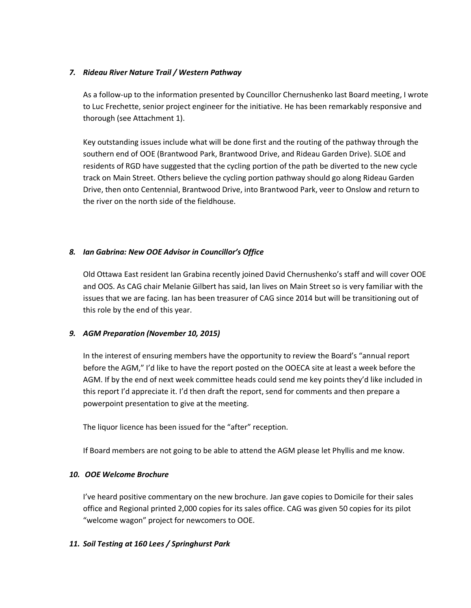### *7. Rideau River Nature Trail / Western Pathway*

As a follow-up to the information presented by Councillor Chernushenko last Board meeting, I wrote to Luc Frechette, senior project engineer for the initiative. He has been remarkably responsive and thorough (see Attachment 1).

Key outstanding issues include what will be done first and the routing of the pathway through the southern end of OOE (Brantwood Park, Brantwood Drive, and Rideau Garden Drive). SLOE and residents of RGD have suggested that the cycling portion of the path be diverted to the new cycle track on Main Street. Others believe the cycling portion pathway should go along Rideau Garden Drive, then onto Centennial, Brantwood Drive, into Brantwood Park, veer to Onslow and return to the river on the north side of the fieldhouse.

### *8. Ian Gabrina: New OOE Advisor in Councillor's Office*

Old Ottawa East resident Ian Grabina recently joined David Chernushenko's staff and will cover OOE and OOS. As CAG chair Melanie Gilbert has said, Ian lives on Main Street so is very familiar with the issues that we are facing. Ian has been treasurer of CAG since 2014 but will be transitioning out of this role by the end of this year.

## *9. AGM Preparation (November 10, 2015)*

In the interest of ensuring members have the opportunity to review the Board's "annual report before the AGM," I'd like to have the report posted on the OOECA site at least a week before the AGM. If by the end of next week committee heads could send me key points they'd like included in this report I'd appreciate it. I'd then draft the report, send for comments and then prepare a powerpoint presentation to give at the meeting.

The liquor licence has been issued for the "after" reception.

If Board members are not going to be able to attend the AGM please let Phyllis and me know.

## *10. OOE Welcome Brochure*

I've heard positive commentary on the new brochure. Jan gave copies to Domicile for their sales office and Regional printed 2,000 copies for its sales office. CAG was given 50 copies for its pilot "welcome wagon" project for newcomers to OOE.

### *11. Soil Testing at 160 Lees / Springhurst Park*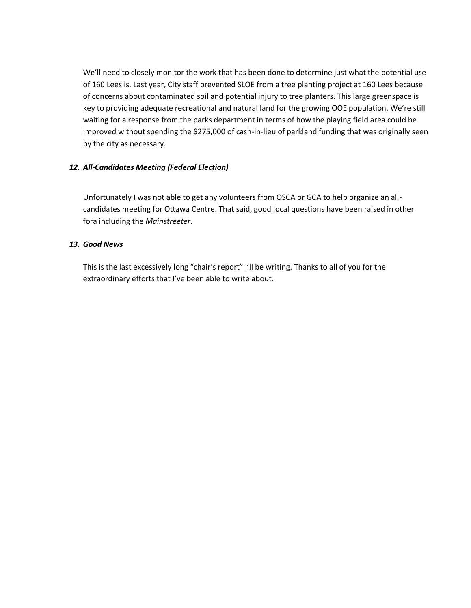We'll need to closely monitor the work that has been done to determine just what the potential use of 160 Lees is. Last year, City staff prevented SLOE from a tree planting project at 160 Lees because of concerns about contaminated soil and potential injury to tree planters. This large greenspace is key to providing adequate recreational and natural land for the growing OOE population. We're still waiting for a response from the parks department in terms of how the playing field area could be improved without spending the \$275,000 of cash-in-lieu of parkland funding that was originally seen by the city as necessary.

### *12. All-Candidates Meeting (Federal Election)*

Unfortunately I was not able to get any volunteers from OSCA or GCA to help organize an allcandidates meeting for Ottawa Centre. That said, good local questions have been raised in other fora including the *Mainstreeter*.

### *13. Good News*

This is the last excessively long "chair's report" I'll be writing. Thanks to all of you for the extraordinary efforts that I've been able to write about.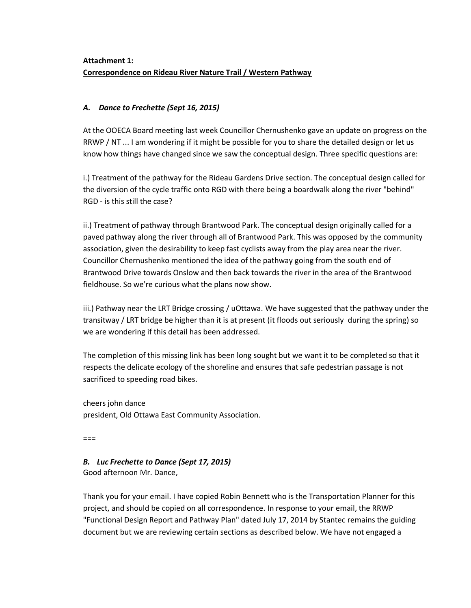# **Attachment 1: Correspondence on Rideau River Nature Trail / Western Pathway**

## *A. Dance to Frechette (Sept 16, 2015)*

At the OOECA Board meeting last week Councillor Chernushenko gave an update on progress on the RRWP / NT ... I am wondering if it might be possible for you to share the detailed design or let us know how things have changed since we saw the conceptual design. Three specific questions are:

i.) Treatment of the pathway for the Rideau Gardens Drive section. The conceptual design called for the diversion of the cycle traffic onto RGD with there being a boardwalk along the river "behind" RGD - is this still the case?

ii.) Treatment of pathway through Brantwood Park. The conceptual design originally called for a paved pathway along the river through all of Brantwood Park. This was opposed by the community association, given the desirability to keep fast cyclists away from the play area near the river. Councillor Chernushenko mentioned the idea of the pathway going from the south end of Brantwood Drive towards Onslow and then back towards the river in the area of the Brantwood fieldhouse. So we're curious what the plans now show.

iii.) Pathway near the LRT Bridge crossing / uOttawa. We have suggested that the pathway under the transitway / LRT bridge be higher than it is at present (it floods out seriously during the spring) so we are wondering if this detail has been addressed.

The completion of this missing link has been long sought but we want it to be completed so that it respects the delicate ecology of the shoreline and ensures that safe pedestrian passage is not sacrificed to speeding road bikes.

cheers john dance president, Old Ottawa East Community Association.

===

# *B. Luc Frechette to Dance (Sept 17, 2015)*

Good afternoon Mr. Dance,

Thank you for your email. I have copied Robin Bennett who is the Transportation Planner for this project, and should be copied on all correspondence. In response to your email, the RRWP "Functional Design Report and Pathway Plan" dated July 17, 2014 by Stantec remains the guiding document but we are reviewing certain sections as described below. We have not engaged a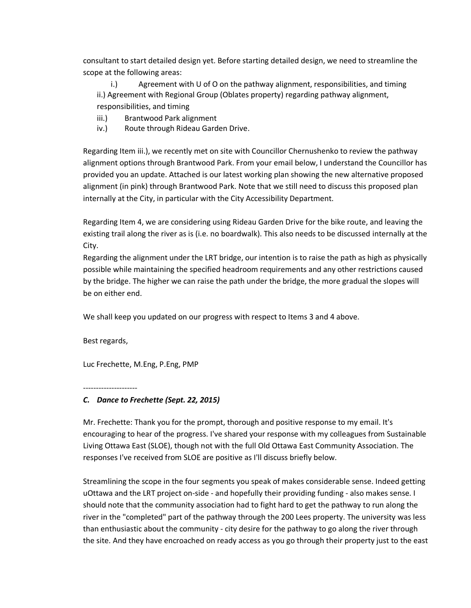consultant to start detailed design yet. Before starting detailed design, we need to streamline the scope at the following areas:

i.) Agreement with U of O on the pathway alignment, responsibilities, and timing ii.) Agreement with Regional Group (Oblates property) regarding pathway alignment, responsibilities, and timing

- iii.) Brantwood Park alignment
- iv.) Route through Rideau Garden Drive.

Regarding Item iii.), we recently met on site with Councillor Chernushenko to review the pathway alignment options through Brantwood Park. From your email below, I understand the Councillor has provided you an update. Attached is our latest working plan showing the new alternative proposed alignment (in pink) through Brantwood Park. Note that we still need to discuss this proposed plan internally at the City, in particular with the City Accessibility Department.

Regarding Item 4, we are considering using Rideau Garden Drive for the bike route, and leaving the existing trail along the river as is (i.e. no boardwalk). This also needs to be discussed internally at the City.

Regarding the alignment under the LRT bridge, our intention is to raise the path as high as physically possible while maintaining the specified headroom requirements and any other restrictions caused by the bridge. The higher we can raise the path under the bridge, the more gradual the slopes will be on either end.

We shall keep you updated on our progress with respect to Items 3 and 4 above.

Best regards,

Luc Frechette, M.Eng, P.Eng, PMP

---------------------

#### *C. Dance to Frechette (Sept. 22, 2015)*

Mr. Frechette: Thank you for the prompt, thorough and positive response to my email. It's encouraging to hear of the progress. I've shared your response with my colleagues from Sustainable Living Ottawa East (SLOE), though not with the full Old Ottawa East Community Association. The responses I've received from SLOE are positive as I'll discuss briefly below.

Streamlining the scope in the four segments you speak of makes considerable sense. Indeed getting uOttawa and the LRT project on-side - and hopefully their providing funding - also makes sense. I should note that the community association had to fight hard to get the pathway to run along the river in the "completed" part of the pathway through the 200 Lees property. The university was less than enthusiastic about the community - city desire for the pathway to go along the river through the site. And they have encroached on ready access as you go through their property just to the east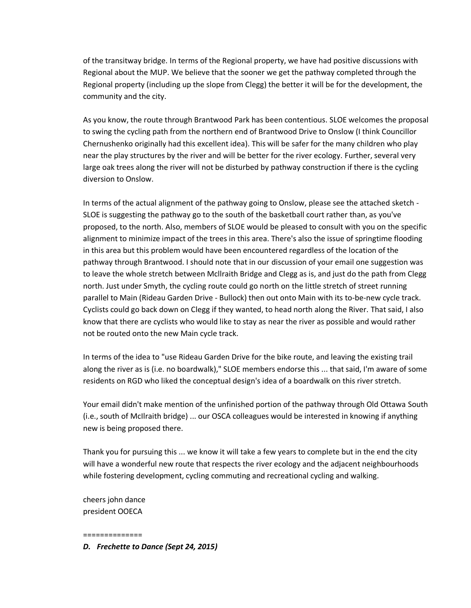of the transitway bridge. In terms of the Regional property, we have had positive discussions with Regional about the MUP. We believe that the sooner we get the pathway completed through the Regional property (including up the slope from Clegg) the better it will be for the development, the community and the city.

As you know, the route through Brantwood Park has been contentious. SLOE welcomes the proposal to swing the cycling path from the northern end of Brantwood Drive to Onslow (I think Councillor Chernushenko originally had this excellent idea). This will be safer for the many children who play near the play structures by the river and will be better for the river ecology. Further, several very large oak trees along the river will not be disturbed by pathway construction if there is the cycling diversion to Onslow.

In terms of the actual alignment of the pathway going to Onslow, please see the attached sketch - SLOE is suggesting the pathway go to the south of the basketball court rather than, as you've proposed, to the north. Also, members of SLOE would be pleased to consult with you on the specific alignment to minimize impact of the trees in this area. There's also the issue of springtime flooding in this area but this problem would have been encountered regardless of the location of the pathway through Brantwood. I should note that in our discussion of your email one suggestion was to leave the whole stretch between Mcllraith Bridge and Clegg as is, and just do the path from Clegg north. Just under Smyth, the cycling route could go north on the little stretch of street running parallel to Main (Rideau Garden Drive - Bullock) then out onto Main with its to-be-new cycle track. Cyclists could go back down on Clegg if they wanted, to head north along the River. That said, I also know that there are cyclists who would like to stay as near the river as possible and would rather not be routed onto the new Main cycle track.

In terms of the idea to "use Rideau Garden Drive for the bike route, and leaving the existing trail along the river as is (i.e. no boardwalk)," SLOE members endorse this ... that said, I'm aware of some residents on RGD who liked the conceptual design's idea of a boardwalk on this river stretch.

Your email didn't make mention of the unfinished portion of the pathway through Old Ottawa South (i.e., south of McIlraith bridge) ... our OSCA colleagues would be interested in knowing if anything new is being proposed there.

Thank you for pursuing this ... we know it will take a few years to complete but in the end the city will have a wonderful new route that respects the river ecology and the adjacent neighbourhoods while fostering development, cycling commuting and recreational cycling and walking.

cheers john dance president OOECA

#### ==============

*D. Frechette to Dance (Sept 24, 2015)*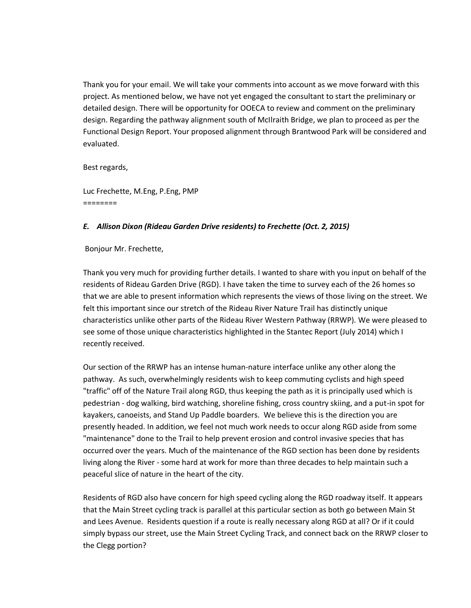Thank you for your email. We will take your comments into account as we move forward with this project. As mentioned below, we have not yet engaged the consultant to start the preliminary or detailed design. There will be opportunity for OOECA to review and comment on the preliminary design. Regarding the pathway alignment south of McIlraith Bridge, we plan to proceed as per the Functional Design Report. Your proposed alignment through Brantwood Park will be considered and evaluated.

Best regards,

Luc Frechette, M.Eng, P.Eng, PMP ========

### *E. Allison Dixon (Rideau Garden Drive residents) to Frechette (Oct. 2, 2015)*

Bonjour Mr. Frechette,

Thank you very much for providing further details. I wanted to share with you input on behalf of the residents of Rideau Garden Drive (RGD). I have taken the time to survey each of the 26 homes so that we are able to present information which represents the views of those living on the street. We felt this important since our stretch of the Rideau River Nature Trail has distinctly unique characteristics unlike other parts of the Rideau River Western Pathway (RRWP). We were pleased to see some of those unique characteristics highlighted in the Stantec Report (July 2014) which I recently received.

Our section of the RRWP has an intense human-nature interface unlike any other along the pathway. As such, overwhelmingly residents wish to keep commuting cyclists and high speed "traffic" off of the Nature Trail along RGD, thus keeping the path as it is principally used which is pedestrian - dog walking, bird watching, shoreline fishing, cross country skiing, and a put-in spot for kayakers, canoeists, and Stand Up Paddle boarders. We believe this is the direction you are presently headed. In addition, we feel not much work needs to occur along RGD aside from some "maintenance" done to the Trail to help prevent erosion and control invasive species that has occurred over the years. Much of the maintenance of the RGD section has been done by residents living along the River - some hard at work for more than three decades to help maintain such a peaceful slice of nature in the heart of the city.

Residents of RGD also have concern for high speed cycling along the RGD roadway itself. It appears that the Main Street cycling track is parallel at this particular section as both go between Main St and Lees Avenue. Residents question if a route is really necessary along RGD at all? Or if it could simply bypass our street, use the Main Street Cycling Track, and connect back on the RRWP closer to the Clegg portion?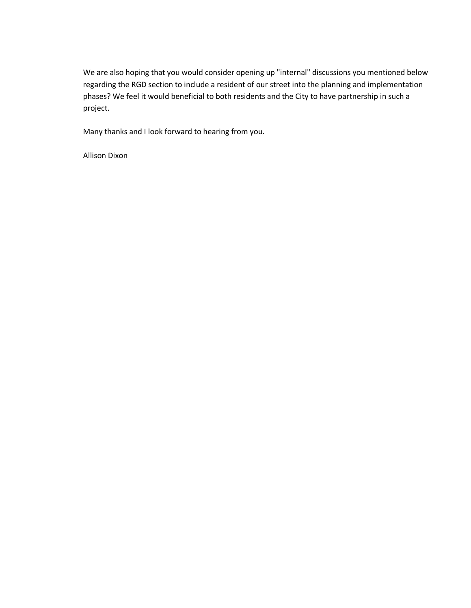We are also hoping that you would consider opening up "internal" discussions you mentioned below regarding the RGD section to include a resident of our street into the planning and implementation phases? We feel it would beneficial to both residents and the City to have partnership in such a project.

Many thanks and I look forward to hearing from you.

Allison Dixon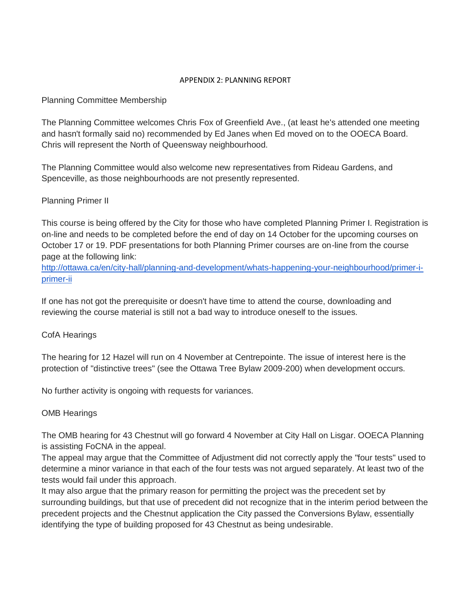### APPENDIX 2: PLANNING REPORT

# Planning Committee Membership

The Planning Committee welcomes Chris Fox of Greenfield Ave., (at least he's attended one meeting and hasn't formally said no) recommended by Ed Janes when Ed moved on to the OOECA Board. Chris will represent the North of Queensway neighbourhood.

The Planning Committee would also welcome new representatives from Rideau Gardens, and Spenceville, as those neighbourhoods are not presently represented.

# Planning Primer II

This course is being offered by the City for those who have completed Planning Primer I. Registration is on-line and needs to be completed before the end of day on 14 October for the upcoming courses on October 17 or 19. PDF presentations for both Planning Primer courses are on-line from the course page at the following link:

[http://ottawa.ca/en/city-hall/planning-and-development/whats-happening-your-neighbourhood/primer-i](http://ottawa.ca/en/city-hall/planning-and-development/whats-happening-your-neighbourhood/primer-i-primer-ii)[primer-ii](http://ottawa.ca/en/city-hall/planning-and-development/whats-happening-your-neighbourhood/primer-i-primer-ii)

If one has not got the prerequisite or doesn't have time to attend the course, downloading and reviewing the course material is still not a bad way to introduce oneself to the issues.

# CofA Hearings

The hearing for 12 Hazel will run on 4 November at Centrepointe. The issue of interest here is the protection of "distinctive trees" (see the Ottawa Tree Bylaw 2009-200) when development occurs.

No further activity is ongoing with requests for variances.

# OMB Hearings

The OMB hearing for 43 Chestnut will go forward 4 November at City Hall on Lisgar. OOECA Planning is assisting FoCNA in the appeal.

The appeal may argue that the Committee of Adjustment did not correctly apply the "four tests" used to determine a minor variance in that each of the four tests was not argued separately. At least two of the tests would fail under this approach.

It may also argue that the primary reason for permitting the project was the precedent set by surrounding buildings, but that use of precedent did not recognize that in the interim period between the precedent projects and the Chestnut application the City passed the Conversions Bylaw, essentially identifying the type of building proposed for 43 Chestnut as being undesirable.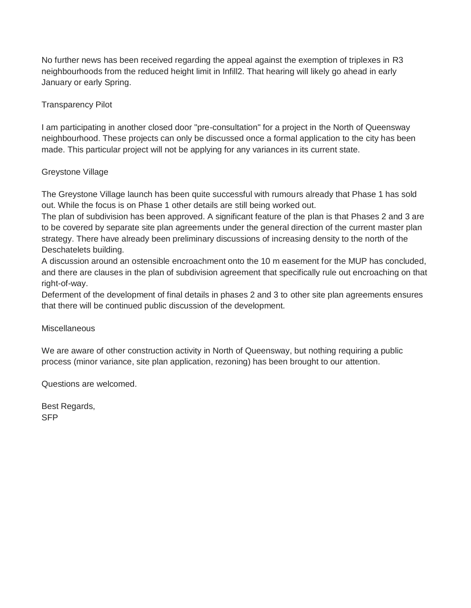No further news has been received regarding the appeal against the exemption of triplexes in R3 neighbourhoods from the reduced height limit in Infill2. That hearing will likely go ahead in early January or early Spring.

# Transparency Pilot

I am participating in another closed door "pre-consultation" for a project in the North of Queensway neighbourhood. These projects can only be discussed once a formal application to the city has been made. This particular project will not be applying for any variances in its current state.

# Greystone Village

The Greystone Village launch has been quite successful with rumours already that Phase 1 has sold out. While the focus is on Phase 1 other details are still being worked out.

The plan of subdivision has been approved. A significant feature of the plan is that Phases 2 and 3 are to be covered by separate site plan agreements under the general direction of the current master plan strategy. There have already been preliminary discussions of increasing density to the north of the Deschatelets building.

A discussion around an ostensible encroachment onto the 10 m easement for the MUP has concluded, and there are clauses in the plan of subdivision agreement that specifically rule out encroaching on that right-of-way.

Deferment of the development of final details in phases 2 and 3 to other site plan agreements ensures that there will be continued public discussion of the development.

# Miscellaneous

We are aware of other construction activity in North of Queensway, but nothing requiring a public process (minor variance, site plan application, rezoning) has been brought to our attention.

Questions are welcomed.

Best Regards, SFP